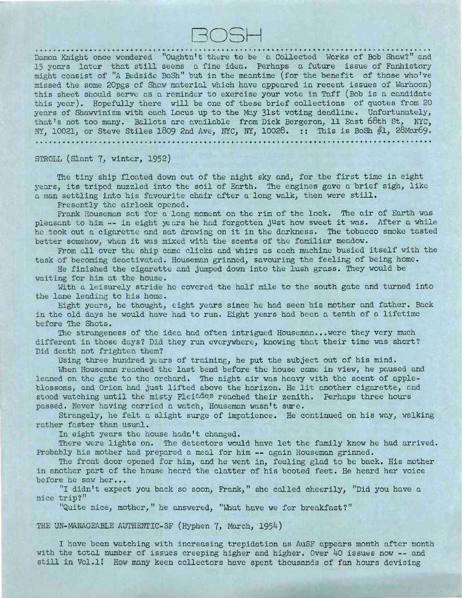

Damon Knight once wondered "Oughtn't there to be a Collected Works of Bob Shaw?" and 15 years later that still seems a fine idea. Perhaps a future issue of Fanhistory might consist of "A Bedside BoSh" but in the meantime (for the benefit of those who've missed the some 2Opgs of Shaw material which have appeared in recent issues of Warhoon) this sheet should serve as a reminder to exercise your vote in Taff (Bob is a candidate this year). Hopefully there will be one of these brief collections of quotes from 20 years of Shawvinism with each Locus up to the May 31st voting deadline. Unfortunately, that's not too many. Ballots are available from Dick Bergeron, 11 East 68th St, NYC, NY, 10021, or Steve Stiles 1809 2nd Ave, NYC, NY, 10028. :: This is BoSh #1, 28Mar69. . . . . . . . . .

STROLL (Slant 7, winter, 1952)

The tiny ship floated down out of the night sky and, for the first time in eight years, its tripod nuzzled into the soil of Earth. The engines gave a brief sigh, like a man settling into his favourite chair after a long walk, then were still.

Presently the airlock opened.

Frank Houseman sat for a long moment on the rim of the lock. The air of Earth was pleasant to him — in eight jears he had forgotten just how sweet it was. After <sup>a</sup> while he took out a cigarette and sat drawing on it in the darkness. The tobacco smoke tasted better somehow, when it was mixed with the scents of the familiar meadow.

From all over the ship came clicks and whirs as each machine busied itself with the task of becoming deactivated. Houseman grinned, savouring the feeling of being home.

He finished the cigarette and jumped down into the lush grass. They would be waiting for him at the house.

With a leisurely stride he covered the half mile to the south gate and turned into the lane leading to his home.

Eight years, he thought, eight years since he had seen his mother and father. Back in the old days he would have had to run. Eight years had been a tenth of a lifetime before The Shots.

The strangeness of the idea had often intrigued Houseman...were they very much different in those days? Did they run everywhere, knowing that their time was short? Did death not frighten them?

Using three hundred years of training, he put the subject out of his mind.

When Houseman reached the last bend before the house came in view, he paused and leaned on the gate to the orchard. The night air was heavy with the scent of appleblossoms, and Orion had just lifted above the horizon. He lit another cigarette, and stood watching until the misty Pleiades reached their zenith. Perhaps three hours passed. Never having carried a watch, Houseman wasn't sure.

Strangely, he felt a slight surge of impatience. He continued on his way, walking rather faster than usual.

In eight years the house hadn't changed.

There were lights on. The detectors would have let the family know he had arrived. Probably his mother had prepared <sup>a</sup> meal for him — again Houseman grinned.

The front door opened for him, and he went in, feeling glad to be back. His mother in another part of the house heard the clatter of his booted feet. He heard her voice before he saw her...

"I didn't expect you back so soon, Frank, " she called cheerily, "Did you have a nice trip?"

"Quite nice, mother," he answered, "What have we for breakfast?"

THE UN-MANAGEABLE AUTHENTIC-SF (Hyphen 7, March, 1954)

I have been watching with increasing trepidation as AuSF appears month after month with the total number of issues creeping higher and higher. Over 40 issues now -- and still in Vol.l! How many keen collectors have spent thousands of fan hours devising